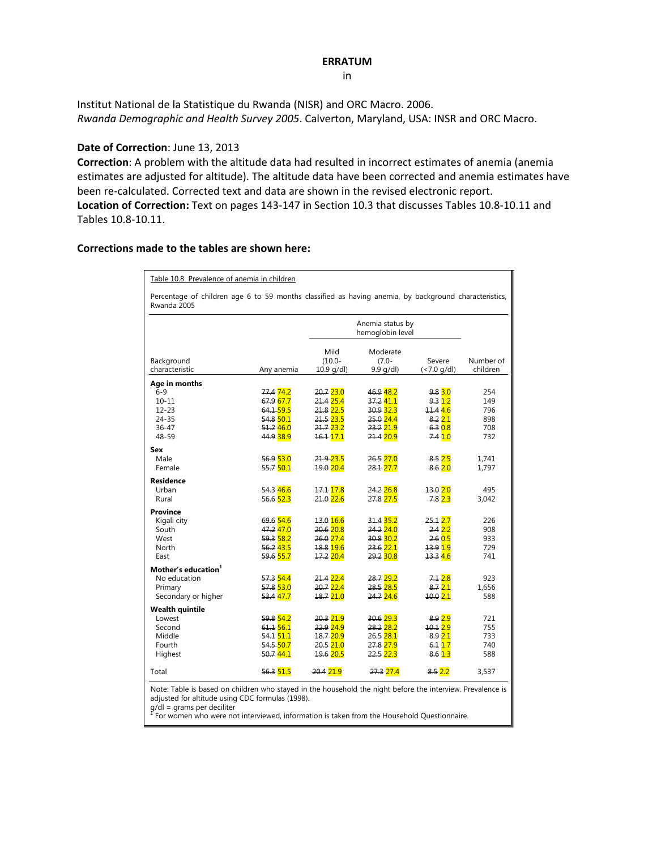## **ERRATUM**

in

Institut National de la Statistique du Rwanda (NISR) and ORC Macro. 2006. *Rwanda Demographic and Health Survey 2005*. Calverton, Maryland, USA: INSR and ORC Macro.

## **Date of Correction**: June 13, 2013

**Correction**: A problem with the altitude data had resulted in incorrect estimates of anemia (anemia estimates are adjusted for altitude). The altitude data have been corrected and anemia estimates have been re-calculated. Corrected text and data are shown in the revised electronic report. **Location of Correction:** Text on pages 143‐147 in Section 10.3 that discusses Tables 10.8‐10.11 and Tables 10.8‐10.11.

## **Corrections made to the tables are shown here:**

|                                 |                      |                                      | Percentage of children age 6 to 59 months classified as having anemia, by background characteristics,<br>Rwanda 2005 |                      |           |  |  |  |  |  |
|---------------------------------|----------------------|--------------------------------------|----------------------------------------------------------------------------------------------------------------------|----------------------|-----------|--|--|--|--|--|
|                                 |                      | Anemia status by<br>hemoglobin level |                                                                                                                      |                      |           |  |  |  |  |  |
|                                 |                      | Mild                                 | Moderate                                                                                                             |                      |           |  |  |  |  |  |
| Background                      |                      | $(10.0 -$                            | $(7.0 -$                                                                                                             | Severe               | Number of |  |  |  |  |  |
| characteristic                  | Any anemia           | $10.9$ g/dl)                         | $9.9$ g/dl)                                                                                                          | $(< 7.0$ g/dl)       | children  |  |  |  |  |  |
| Age in months                   |                      |                                      |                                                                                                                      |                      |           |  |  |  |  |  |
| $6 - 9$                         | 77.474.2             | 20.723.0                             | 46.948.2                                                                                                             | $9.8\,3.0$           | 254       |  |  |  |  |  |
| $10 - 11$                       | 67.9 67.7            | 21.4 25.4                            | 37.2 41.1                                                                                                            | 9.312                | 149       |  |  |  |  |  |
| $12 - 23$                       | 64.1-59.5            | 21.8 22.5                            | 30.9 32.3                                                                                                            | 11.44.6              | 796       |  |  |  |  |  |
| 24-35                           | 54.8 50.1            | 21.5 23.5                            | 25.0 24.4                                                                                                            | 8.221                | 898       |  |  |  |  |  |
| $36 - 47$                       | 51.2 46.0            | 21.7 23.2                            | 23.2 21.9                                                                                                            | 6.30.8               | 708       |  |  |  |  |  |
| 48-59                           | 44.9 <sup>38.9</sup> | 16.1 17.1                            | 21.4 20.9                                                                                                            | 7.4 <mark>1.0</mark> | 732       |  |  |  |  |  |
| Sex                             |                      |                                      |                                                                                                                      |                      |           |  |  |  |  |  |
| Male                            | 56.9 53.0            | 21.9 23.5                            | 26.527.0                                                                                                             | 8.52.5               | 1,741     |  |  |  |  |  |
| Female                          | 55.7 50.1            | 19.0 20.4                            | 28.1 27.7                                                                                                            | 8.6 2.0              | 1,797     |  |  |  |  |  |
| <b>Residence</b>                |                      |                                      |                                                                                                                      |                      |           |  |  |  |  |  |
| Urban                           | 54.3 46.6            | 17.1 <mark>17.8</mark>               | 24.2 26.8                                                                                                            | 13.020               | 495       |  |  |  |  |  |
| Rural                           | 56.6 52.3            | 21.0 22.6                            | 27.8 27.5                                                                                                            | 7.8 2.3              | 3,042     |  |  |  |  |  |
| <b>Province</b>                 |                      |                                      |                                                                                                                      |                      |           |  |  |  |  |  |
| Kigali city                     | 69.6 54.6            | 13.0 16.6                            | 31.4 35.2                                                                                                            | 25.12.7              | 226       |  |  |  |  |  |
| South                           | 47.247.0             | 20.6 20.8                            | $24.2$ 24.0                                                                                                          | 2.422                | 908       |  |  |  |  |  |
| West                            | 59.3 58.2            | 26.0 27.4                            | 30.8 30.2                                                                                                            | 2.605                | 933       |  |  |  |  |  |
| North                           | 56.243.5             | 18.8 19.6                            | 23.6 22.1                                                                                                            | <u>13.9 1.9</u>      | 729       |  |  |  |  |  |
| East                            | 59.6 55.7            | 17.2 20.4                            | 29.2 30.8                                                                                                            | 13.3 4.6             | 741       |  |  |  |  |  |
| Mother's education <sup>1</sup> |                      |                                      |                                                                                                                      |                      |           |  |  |  |  |  |
| No education                    | 57.3 54.4            | 21.4 22.4                            | 28.7 29.2                                                                                                            | 7.12.8               | 923       |  |  |  |  |  |
| Primary                         | 57.8 53.0            | 20.722.4                             | 28.5 28.5                                                                                                            | 8.721                | 1.656     |  |  |  |  |  |
| Secondary or higher             | 53.4 47.7            | 18.7 21.0                            | 24.7 24.6                                                                                                            | 10.021               | 588       |  |  |  |  |  |
| <b>Wealth quintile</b>          |                      |                                      |                                                                                                                      |                      |           |  |  |  |  |  |
| Lowest                          | 59.8 54.2            | 20.3 21.9                            | 30.6 29.3                                                                                                            | 8.9 2.9              | 721       |  |  |  |  |  |
| Second                          | 61.1 <sub>56.1</sub> | 22.9 <sub>24.9</sub>                 | 28.2 28.2                                                                                                            | 10.12.9              | 755       |  |  |  |  |  |
| Middle                          | 54.1 51.1            | 18.7 20.9                            | 26.5 28.1                                                                                                            | 8.9 2.1              | 733       |  |  |  |  |  |
| Fourth                          | 54.5 50.7            | 20.5 21.0                            | 27.8 27.9                                                                                                            | 6.117                | 740       |  |  |  |  |  |
| Highest                         | 50.744.1             | 19.6 20.5                            | 22.5 22.3                                                                                                            | 8.6 1.3              | 588       |  |  |  |  |  |
| Total                           | 56.3 51.5            | 20.4 21.9                            | 27.3 27.4                                                                                                            | 8.5 2.2              | 3,537     |  |  |  |  |  |

g/dl = grams per deciliter<br><sup>1</sup> For women who were not interviewed, information is taken from the Household Questionnaire.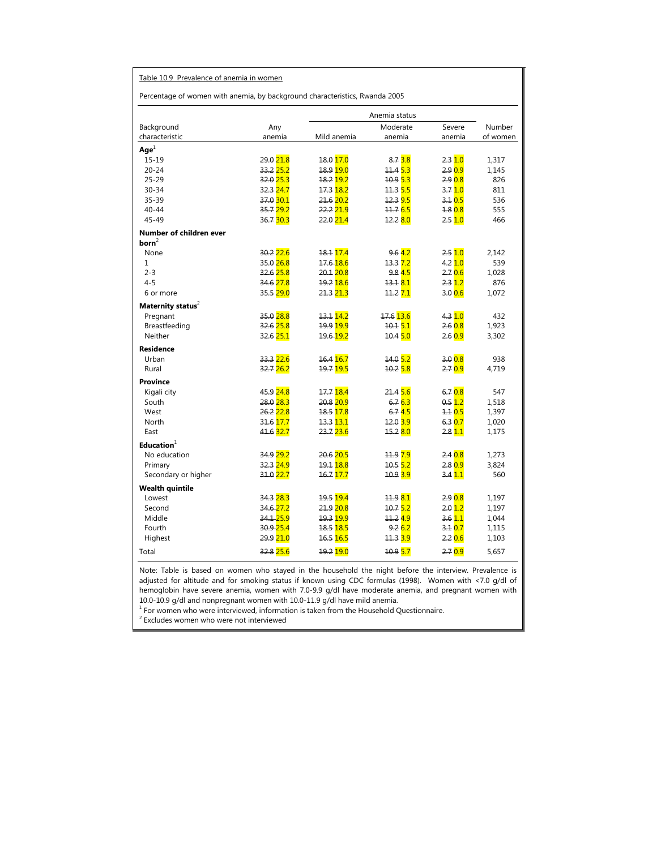| Table 10.9 Prevalence of anemia in women                                    |                        |                        |                       |         |          |  |
|-----------------------------------------------------------------------------|------------------------|------------------------|-----------------------|---------|----------|--|
| Percentage of women with anemia, by background characteristics, Rwanda 2005 |                        |                        |                       |         |          |  |
|                                                                             |                        |                        |                       |         |          |  |
| Background                                                                  | Any                    |                        | Moderate              | Severe  | Number   |  |
| characteristic                                                              | anemia                 | Mild anemia            | anemia                | anemia  | of women |  |
| Age <sup>1</sup>                                                            |                        |                        |                       |         |          |  |
| $15 - 19$                                                                   | 29.0 21.8              | 18.0 17.0              | 8.73.8                | 2.310   | 1,317    |  |
| $20 - 24$                                                                   | 33.2 25.2              | 18.9 19.0              | 11.45.3               | 2.9 0.9 | 1,145    |  |
| $25 - 29$                                                                   | 32.0 25.3              | 18.2 19.2              | 10.9 5.3              | 2.9 0.8 | 826      |  |
| $30 - 34$                                                                   | 32.3 24.7              | 17.3 18.2              | 11.355                | 3.710   | 811      |  |
| 35-39                                                                       | 37.0 <mark>30.1</mark> | 21.6 20.2              | 12.3 9.5              | 3.10.5  | 536      |  |
| $40 - 44$                                                                   | 35.7 29.2              | 22.2 21.9              | 11.765                | 4.80.8  | 555      |  |
| 45-49                                                                       | 36.7 30.3              | 22.0 21.4              | 12.2 8.0              | 2.5 1.0 | 466      |  |
| Number of children ever                                                     |                        |                        |                       |         |          |  |
| born <sup>2</sup>                                                           |                        |                        |                       |         |          |  |
| None                                                                        | 30.2 22.6              | 18.1 17.4              | 9.642                 | 2.510   | 2,142    |  |
| 1                                                                           | 35.0 26.8              | 17.6-18.6              | 13.37.2               | 4.210   | 539      |  |
| $2 - 3$                                                                     | 32.6 25.8              | 20.1 20.8              | 9.845                 | 2.70.6  | 1.028    |  |
| $4 - 5$                                                                     | 34.6 27.8              | 19.2 18.6              | 13.18.1               | 2.312   | 876      |  |
| 6 or more                                                                   | 35.5 29.0              | 21.3 21.3              | 11.2 <mark>7.1</mark> | 3.0 0.6 | 1,072    |  |
| Maternity status <sup>2</sup>                                               |                        |                        |                       |         |          |  |
| Pregnant                                                                    | 35.0 28.8              | 13.1 14.2              | 17.6 13.6             | 4.310   | 432      |  |
| Breastfeeding                                                               | 32.6 25.8              | 19.9 <mark>19.9</mark> | 10.15.1               | 2.60.8  | 1,923    |  |
| Neither                                                                     | 32.6 25.1              | 19.6-19.2              | 10.4 5.0              | 2.6 0.9 | 3,302    |  |
| <b>Residence</b>                                                            |                        |                        |                       |         |          |  |
| Urban                                                                       | 33.3 22.6              | 16.4 16.7              | 14.05.2               | 3.008   | 938      |  |
| Rural                                                                       | 32.7 <sub>26.2</sub>   | 19.7 19.5              | 10.258                | 2.7 0.9 | 4,719    |  |
| <b>Province</b>                                                             |                        |                        |                       |         |          |  |
| Kigali city                                                                 | 45.9 24.8              | 17.7 18.4              | $-21.45.6$            | 6.70.8  | 547      |  |
| South                                                                       | 28.0 28.3              | 20.8 20.9              | 6.763                 | 0.512   | 1,518    |  |
| West                                                                        | 26.222.8               | 18.5 17.8              | 6.74.5                | 1.10.5  | 1,397    |  |
| North                                                                       | 31.6 17.7              | 13.3 <mark>13.1</mark> | 12.0 3.9              | 6.307   | 1,020    |  |
| East                                                                        | 41.6 <mark>32.7</mark> | 23.7 23.6              | 15.2 8.0              | 2.811   | 1,175    |  |
| Education <sup>1</sup>                                                      |                        |                        |                       |         |          |  |
| No education                                                                | 34.9 <sub>29.2</sub>   | 20.6 20.5              | 11.9 7.9              | 2.40.8  | 1,273    |  |
| Primary                                                                     | 32.3 24.9              | 19.1 18.8              | 10.5 5.2              | 2.8 0.9 | 3,824    |  |
| Secondary or higher                                                         | 31.0 22.7              | 16.7 17.7              | 10.9 <sub>3.9</sub>   | 3.411   | 560      |  |
| <b>Wealth quintile</b>                                                      |                        |                        |                       |         |          |  |
| Lowest                                                                      | 34.328.3               | 19.5 19.4              | 11.98.1               | 2.908   | 1,197    |  |
| Second                                                                      | 34.6 27.2              | 21.9 20.8              | 10.75.2               | 2.012   | 1,197    |  |
| Middle                                                                      | 34.1-25.9              | <u>19.3 19.9</u>       | 11.2 <mark>4.9</mark> | 3.611   | 1,044    |  |
| Fourth                                                                      | 30.9 25.4              | 18.5 18.5              | 9.262                 | 3.10.7  | 1,115    |  |
| Highest                                                                     | 29.9 21.0              | 16.5 16.5              | 11.3 3.9              | 2.206   | 1,103    |  |
| Total                                                                       | 32.8 <mark>25.6</mark> | 19.2 19.0              | 10.9 5.7              | 2.70.9  | 5,657    |  |
|                                                                             |                        |                        |                       |         |          |  |

Note: Table is based on women who stayed in the household the night before the interview. Prevalence is adjusted for altitude and for smoking status if known using CDC formulas (1998). Women with <7.0 g/dl of hemoglobin have severe anemia, women with 7.0-9.9 g/dl have moderate anemia, and pregnant women with

10.0-10.9 g/dl and nonpregnant women with 10.0-11.9 g/dl have mild anemia.<br><sup>1</sup> For women who were interviewed, information is taken from the Household Questionnaire.

 $2$  Excludes women who were not interviewed